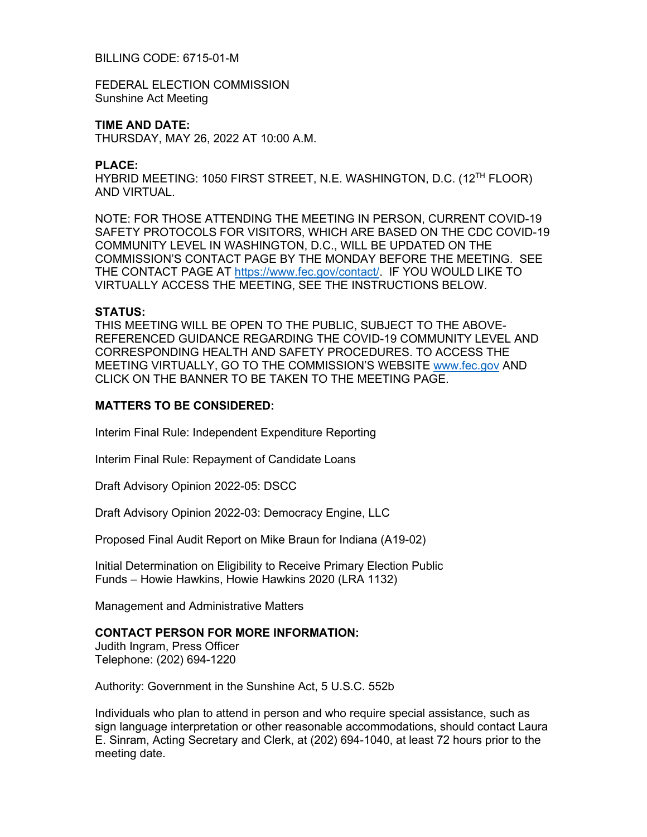# BILLING CODE: 6715-01-M

FEDERAL ELECTION COMMISSION Sunshine Act Meeting

### **TIME AND DATE:**

THURSDAY, MAY 26, 2022 AT 10:00 A.M.

#### **PLACE:**

HYBRID MEETING: 1050 FIRST STREET, N.E. WASHINGTON, D.C. (12TH FLOOR) AND VIRTUAL.

NOTE: FOR THOSE ATTENDING THE MEETING IN PERSON, CURRENT COVID-19 SAFETY PROTOCOLS FOR VISITORS, WHICH ARE BASED ON THE CDC COVID-19 COMMUNITY LEVEL IN WASHINGTON, D.C., WILL BE UPDATED ON THE COMMISSION'S CONTACT PAGE BY THE MONDAY BEFORE THE MEETING. SEE THE CONTACT PAGE AT [https://www.fec.gov/contact/.](https://www.fec.gov/contact/) IF YOU WOULD LIKE TO VIRTUALLY ACCESS THE MEETING, SEE THE INSTRUCTIONS BELOW.

### **STATUS:**

THIS MEETING WILL BE OPEN TO THE PUBLIC, SUBJECT TO THE ABOVE-REFERENCED GUIDANCE REGARDING THE COVID-19 COMMUNITY LEVEL AND CORRESPONDING HEALTH AND SAFETY PROCEDURES. TO ACCESS THE MEETING VIRTUALLY, GO TO THE COMMISSION'S WEBSITE [www.fec.gov](http://www.fec.gov/) AND CLICK ON THE BANNER TO BE TAKEN TO THE MEETING PAGE.

# **MATTERS TO BE CONSIDERED:**

Interim Final Rule: Independent Expenditure Reporting

Interim Final Rule: Repayment of Candidate Loans

Draft Advisory Opinion 2022-05: DSCC

Draft Advisory Opinion 2022-03: Democracy Engine, LLC

Proposed Final Audit Report on Mike Braun for Indiana (A19-02)

Initial Determination on Eligibility to Receive Primary Election Public Funds – Howie Hawkins, Howie Hawkins 2020 (LRA 1132)

Management and Administrative Matters

# **CONTACT PERSON FOR MORE INFORMATION:**

Judith Ingram, Press Officer Telephone: (202) 694-1220

Authority: Government in the Sunshine Act, 5 U.S.C. 552b

Individuals who plan to attend in person and who require special assistance, such as sign language interpretation or other reasonable accommodations, should contact Laura E. Sinram, Acting Secretary and Clerk, at (202) 694-1040, at least 72 hours prior to the meeting date.